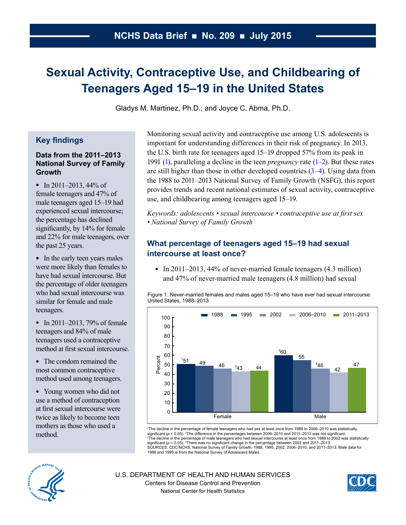# <span id="page-0-0"></span>**Sexual Activity, Contraceptive Use, and Childbearing of Teenagers Aged 15–19 in the United States**

Gladys M. Martinez, Ph.D.; and Joyce C. Abma, Ph.D.

# **Key findings**

### **Data from the 2011–2013 National Survey of Family Growth**

• In 2011–2013,  $44\%$  of female teenagers and 47% of male teenagers aged 15–19 had experienced sexual intercourse; the percentage has declined significantly, by 14% for female and 22% for male teenagers, over the past 25 years.

• In the early teen years males were more likely than females to have had sexual intercourse. But the percentage of older teenagers who had sexual intercourse was similar for female and male teenagers.

• In 2011–2013, 79% of female teenagers and 84% of male teenagers used a contraceptive method at first sexual intercourse.

• The condom remained the most common contraceptive method used among teenagers.

• Young women who did not use a method of contraception at first sexual intercourse were twice as likely to become teen mothers as those who used a method.

Monitoring sexual activity and contraceptive use among U.S. adolescents is important for understanding differences in their risk of pregnancy. In 2013, the U.S. birth rate for teenagers aged 15–19 dropped 57% from its peak in 1991 [\(1\),](#page-6-0) paralleling a decline in the teen *pregnancy* rate (1–2). But these rates are still higher than those in other developed countries  $(3-4)$ . Using data from the 1988 to 2011–2013 National Survey of Family Growth (NSFG), this report provides trends and recent national estimates of sexual activity, contraceptive use, and childbearing among teenagers aged 15–19.

*Keywords: adolescents • sexual intercourse • contraceptive use at first sex • National Survey of Family Growth* 

# **What percentage of teenagers aged 15–19 had sexual intercourse at least once?**

• In 2011–2013, 44% of never-married female teenagers  $(4.3 \text{ million})$ and 47% of never-married male teenagers (4.8 million) had sexual

Figure 1. Never-married females and males aged 15–19 who have ever had sexual intercourse: United States, 1988–2013



1 The decline in the percentage of female teenagers who had sex at least once from 1988 to 2006–2010 was statistically significant (ρ < 0.05). <sup>2</sup>The difference in the percentages between 2006–2010 and 2011–2013 was not significant.<br><sup>3</sup>The decline in the percentage of male teenagers who had sexual intercourse at least once from 1988 to 20 significant (*p* < 0.05). 4 There was no significant change in the percentage between 2002 and 2011–2013. SOURCES: CDC/NCHS, National Survey of Family Growth, 1988, 1995, 2002, 2006–2010, and 2011–2013. Male data for 1988 and 1995 is from the National Survey of Adolescent Males.



U.S. DEPARTMENT OF HEALTH AND HUMAN SERVICES Centers for Disease Control and Prevention National Center for Health Statistics

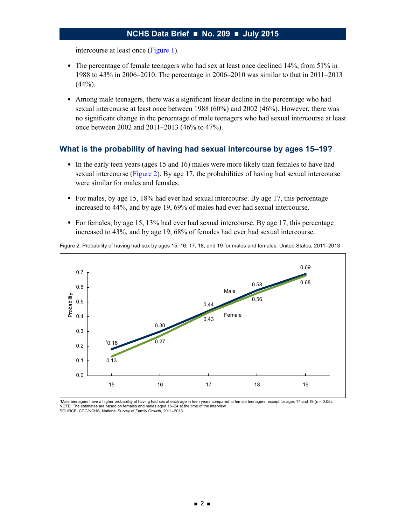<span id="page-1-0"></span>intercourse at least once [\(Figure 1\)](#page-0-0).

- The percentage of female teenagers who had sex at least once declined 14%, from 51% in 1988 to 43% in 2006–2010. The percentage in 2006–2010 was similar to that in 2011–2013  $(44%).$
- Among male teenagers, there was a significant linear decline in the percentage who had sexual intercourse at least once between 1988 (60%) and 2002 (46%). However, there was no significant change in the percentage of male teenagers who had sexual intercourse at least once between 2002 and 2011–2013 (46% to 47%).

#### **What is the probability of having had sexual intercourse by ages 15–19?**

- In the early teen years (ages 15 and 16) males were more likely than females to have had sexual intercourse (Figure 2). By age 17, the probabilities of having had sexual intercourse were similar for males and females.
- For males, by age 15, 18% had ever had sexual intercourse. By age 17, this percentage increased to 44%, and by age 19, 69% of males had ever had sexual intercourse.
- For females, by age 15, 13% had ever had sexual intercourse. By age 17, this percentage increased to 43%, and by age 19, 68% of females had ever had sexual intercourse.



Figure 2. Probability of having had sex by ages 15, 16, 17, 18, and 19 for males and females: United States, 2011–2013

1Male teenagers have a higher probability of having had sex at each age in teen years compared to female teenagers, except for ages 17 and 19 (*p* < 0.05). NOTE: The estimates are based on females and males aged 15–24 at the time of the interview. SOURCE: CDC/NCHS, National Survey of Family Growth, 2011–2013.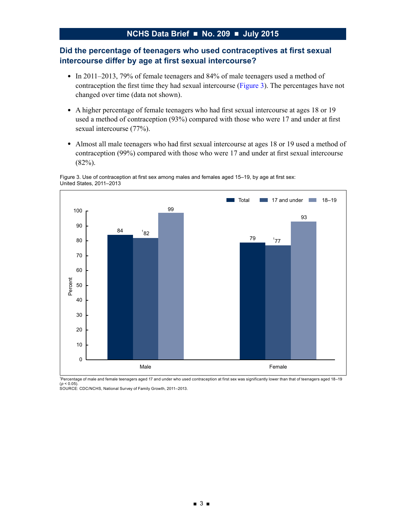# **Did the percentage of teenagers who used contraceptives at first sexual intercourse differ by age at first sexual intercourse?**

- In 2011–2013, 79% of female teenagers and 84% of male teenagers used a method of contraception the first time they had sexual intercourse (Figure 3). The percentages have not changed over time (data not shown).
- A higher percentage of female teenagers who had first sexual intercourse at ages 18 or 19 used a method of contraception (93%) compared with those who were 17 and under at first sexual intercourse (77%).
- Almost all male teenagers who had first sexual intercourse at ages 18 or 19 used a method of contraception (99%) compared with those who were 17 and under at first sexual intercourse (82%).

Figure 3. Use of contraception at first sex among males and females aged 15–19, by age at first sex: United States, 2011–2013



1 Percentage of male and female teenagers aged 17 and under who used contraception at first sex was significantly lower than that of teenagers aged 18–19

(*p* < 0.05). SOURCE: CDC/NCHS, National Survey of Family Growth, 2011–2013.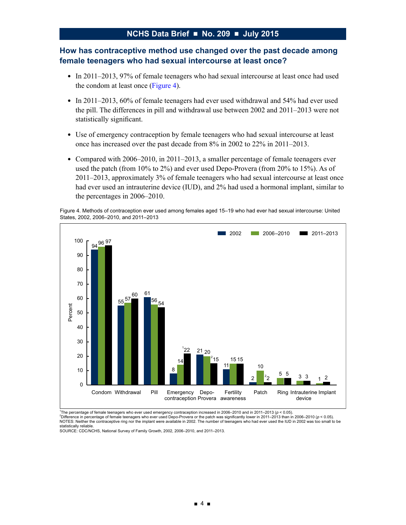# **How has contraceptive method use changed over the past decade among female teenagers who had sexual intercourse at least once?**

- In 2011–2013, 97% of female teenagers who had sexual intercourse at least once had used the condom at least once (Figure 4).
- In 2011–2013, 60% of female teenagers had ever used withdrawal and 54% had ever used the pill. The differences in pill and withdrawal use between 2002 and 2011–2013 were not statistically significant.
- Use of emergency contraception by female teenagers who had sexual intercourse at least once has increased over the past decade from 8% in 2002 to 22% in 2011–2013.
- Compared with  $2006-2010$ , in  $2011-2013$ , a smaller percentage of female teenagers ever used the patch (from 10% to 2%) and ever used Depo-Provera (from 20% to 15%). As of 2011–2013, approximately 3% of female teenagers who had sexual intercourse at least once had ever used an intrauterine device (IUD), and 2% had used a hormonal implant, similar to the percentages in 2006–2010.

Figure 4. Methods of contraception ever used among females aged 15–19 who had ever had sexual intercourse: United States, 2002, 2006–2010, and 2011–2013



1 The percentage of female teenagers who ever used emergency contraception increased in 2006–2010 and in 2011–2013 (*p* < 0.05). <sup>2</sup> <sup>2</sup>Difference in percentage of female teenagers who ever used Depo-Provera or the patch was significantly lower in 2011–2013 than in 2006–2010 ( $p < 0.05$ ). NOTES: Neither the contraceptive ring nor the implant were available in 2002. The number of teenagers who had ever used the IUD in 2002 was too small to be statistically reliable.

SOURCE: CDC/NCHS, National Survey of Family Growth, 2002, 2006–2010, and 2011–2013.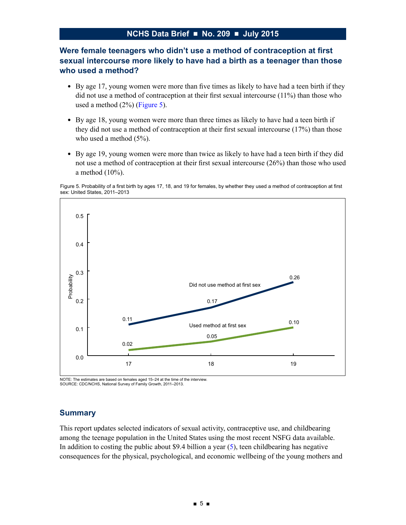# <span id="page-4-0"></span>**Were female teenagers who didn't use a method of contraception at first sexual intercourse more likely to have had a birth as a teenager than those who used a method?**

- By age 17, young women were more than five times as likely to have had a teen birth if they did not use a method of contraception at their first sexual intercourse (11%) than those who used a method (2%) (Figure 5).
- By age 18, young women were more than three times as likely to have had a teen birth if they did not use a method of contraception at their first sexual intercourse (17%) than those who used a method  $(5\%)$ .
- By age 19, young women were more than twice as likely to have had a teen birth if they did not use a method of contraception at their first sexual intercourse (26%) than those who used a method (10%).

Figure 5. Probability of a first birth by ages 17, 18, and 19 for females, by whether they used a method of contraception at first sex: United States, 2011–2013



NOTE: The estimates are based on females aged 15–24 at the time of the interview. SOURCE: CDC/NCHS, National Survey of Family Growth, 2011–2013.

#### **Summary**

This report updates selected indicators of sexual activity, contraceptive use, and childbearing among the teenage population in the United States using the most recent NSFG data available. In addition to costing the public about \$9.4 billion a year  $(5)$ , teen childbearing has negative consequences for the physical, psychological, and economic wellbeing of the young mothers and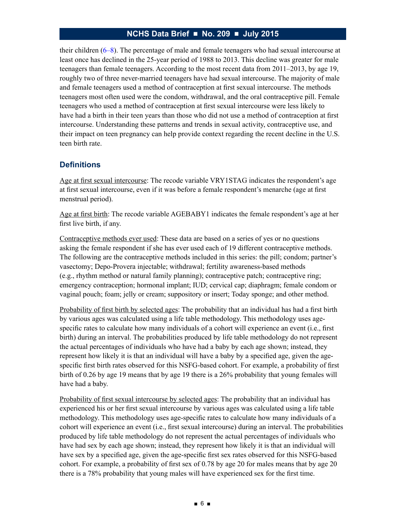their children [\(6–8\)](#page-7-0). The percentage of male and female teenagers who had sexual intercourse at least once has declined in the 25-year period of 1988 to 2013. This decline was greater for male teenagers than female teenagers. According to the most recent data from 2011–2013, by age 19, roughly two of three never-married teenagers have had sexual intercourse. The majority of male and female teenagers used a method of contraception at first sexual intercourse. The methods teenagers most often used were the condom, withdrawal, and the oral contraceptive pill. Female teenagers who used a method of contraception at first sexual intercourse were less likely to have had a birth in their teen years than those who did not use a method of contraception at first intercourse. Understanding these patterns and trends in sexual activity, contraceptive use, and their impact on teen pregnancy can help provide context regarding the recent decline in the U.S. teen birth rate.

### **Definitions**

Age at first sexual intercourse: The recode variable VRY1STAG indicates the respondent's age at first sexual intercourse, even if it was before a female respondent's menarche (age at first menstrual period).

Age at first birth: The recode variable AGEBABY1 indicates the female respondent's age at her first live birth, if any.

Contraceptive methods ever used: These data are based on a series of yes or no questions asking the female respondent if she has ever used each of 19 different contraceptive methods. The following are the contraceptive methods included in this series: the pill; condom; partner's vasectomy; Depo-Provera injectable; withdrawal; fertility awareness-based methods (e.g., rhythm method or natural family planning); contraceptive patch; contraceptive ring; emergency contraception; hormonal implant; IUD; cervical cap; diaphragm; female condom or vaginal pouch; foam; jelly or cream; suppository or insert; Today sponge; and other method.

Probability of first birth by selected ages: The probability that an individual has had a first birth by various ages was calculated using a life table methodology. This methodology uses agespecific rates to calculate how many individuals of a cohort will experience an event (i.e., first birth) during an interval. The probabilities produced by life table methodology do not represent the actual percentages of individuals who have had a baby by each age shown; instead, they represent how likely it is that an individual will have a baby by a specified age, given the agespecific first birth rates observed for this NSFG-based cohort. For example, a probability of first birth of 0.26 by age 19 means that by age 19 there is a 26% probability that young females will have had a baby.

Probability of first sexual intercourse by selected ages: The probability that an individual has experienced his or her first sexual intercourse by various ages was calculated using a life table methodology. This methodology uses age-specific rates to calculate how many individuals of a cohort will experience an event (i.e., first sexual intercourse) during an interval. The probabilities produced by life table methodology do not represent the actual percentages of individuals who have had sex by each age shown; instead, they represent how likely it is that an individual will have sex by a specified age, given the age-specific first sex rates observed for this NSFG-based cohort. For example, a probability of first sex of 0.78 by age 20 for males means that by age 20 there is a 78% probability that young males will have experienced sex for the first time.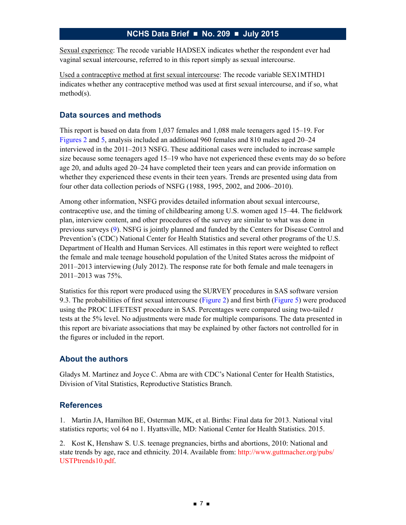<span id="page-6-0"></span>Sexual experience: The recode variable HADSEX indicates whether the respondent ever had vaginal sexual intercourse, referred to in this report simply as sexual intercourse.

Used a contraceptive method at first sexual intercourse: The recode variable SEX1MTHD1 indicates whether any contraceptive method was used at first sexual intercourse, and if so, what method(s).

## **Data sources and methods**

This report is based on data from 1,037 females and 1,088 male teenagers aged 15–19. For [Figures](#page-1-0) 2 and [5](#page-4-0), analysis included an additional 960 females and 810 males aged 20–24 interviewed in the 2011–2013 NSFG. These additional cases were included to increase sample size because some teenagers aged 15–19 who have not experienced these events may do so before age 20, and adults aged 20–24 have completed their teen years and can provide information on whether they experienced these events in their teen years. Trends are presented using data from four other data collection periods of NSFG (1988, 1995, 2002, and 2006–2010).

Among other information, NSFG provides detailed information about sexual intercourse, contraceptive use, and the timing of childbearing among U.S. women aged 15–44. The fieldwork plan, interview content, and other procedures of the survey are similar to what was done in previous surveys [\(9\)](#page-7-0). NSFG is jointly planned and funded by the Centers for Disease Control and Prevention's (CDC) National Center for Health Statistics and several other programs of the U.S. Department of Health and Human Services. All estimates in this report were weighted to reflect the female and male teenage household population of the United States across the midpoint of 2011–2013 interviewing (July 2012). The response rate for both female and male teenagers in 2011–2013 was 75%.

Statistics for this report were produced using the SURVEY procedures in SAS software version 9.3. The probabilities of first sexual intercourse ([Figure 2](#page-1-0)) and first birth ([Figure 5\)](#page-4-0) were produced using the PROC LIFETEST procedure in SAS. Percentages were compared using two-tailed *t* tests at the 5% level. No adjustments were made for multiple comparisons. The data presented in this report are bivariate associations that may be explained by other factors not controlled for in the figures or included in the report.

# **About the authors**

Gladys M. Martinez and Joyce C. Abma are with CDC's National Center for Health Statistics, Division of Vital Statistics, Reproductive Statistics Branch.

#### **References**

1. Martin JA, Hamilton BE, Osterman MJK, et al. Births: Final data for 2013. National vital statistics reports; vol 64 no 1. Hyattsville, MD: National Center for Health Statistics. 2015.

2. Kost K, Henshaw S. U.S. teenage pregnancies, births and abortions, 2010: National and state trends by age, race and ethnicity. 2014. Available from: [http://www.guttmacher.org/pubs/](http://www.guttmacher.org/pubs/USTPtrends10.pdf) [USTPtrends10.pdf.](http://www.guttmacher.org/pubs/USTPtrends10.pdf)